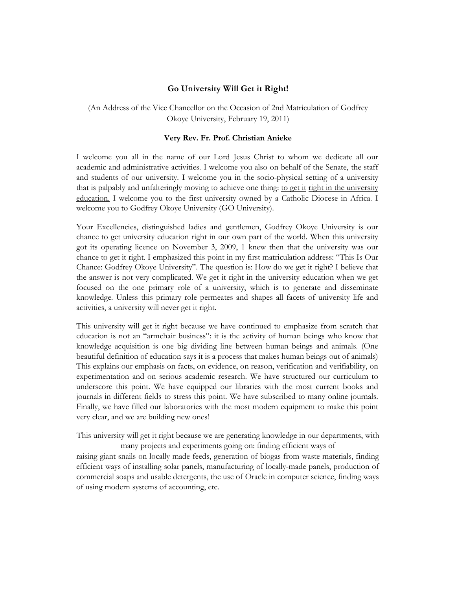## **Go University Will Get it Right!**

(An Address of the Vice Chancellor on the Occasion of 2nd Matriculation of Godfrey Okoye University, February 19, 2011)

## **Very Rev. Fr. Prof. Christian Anieke**

I welcome you all in the name of our Lord Jesus Christ to whom we dedicate all our academic and administrative activities. I welcome you also on behalf of the Senate, the staff and students of our university. I welcome you in the socio-physical setting of a university that is palpably and unfalteringly moving to achieve one thing: to get it right in the university education. I welcome you to the first university owned by a Catholic Diocese in Africa. I welcome you to Godfrey Okoye University (GO University).

Your Excellencies, distinguished ladies and gentlemen, Godfrey Okoye University is our chance to get university education right in our own part of the world. When this university got its operating licence on November 3, 2009, 1 knew then that the university was our chance to get it right. I emphasized this point in my first matriculation address: "This Is Our Chance: Godfrey Okoye University". The question is: How do we get it right? I believe that the answer is not very complicated. We get it right in the university education when we get focused on the one primary role of a university, which is to generate and disseminate knowledge. Unless this primary role permeates and shapes all facets of university life and activities, a university will never get it right.

This university will get it right because we have continued to emphasize from scratch that education is not an "armchair business": it is the activity of human beings who know that knowledge acquisition is one big dividing line between human beings and animals. (One beautiful definition of education says it is a process that makes human beings out of animals) This explains our emphasis on facts, on evidence, on reason, verification and verifiability, on experimentation and on serious academic research. We have structured our curriculum to underscore this point. We have equipped our libraries with the most current books and journals in different fields to stress this point. We have subscribed to many online journals. Finally, we have filled our laboratories with the most modern equipment to make this point very clear, and we are building new ones!

This university will get it right because we are generating knowledge in our departments, with many projects and experiments going on: finding efficient ways of

raising giant snails on locally made feeds, generation of biogas from waste materials, finding efficient ways of installing solar panels, manufacturing of locally-made panels, production of commercial soaps and usable detergents, the use of Oracle in computer science, finding ways of using modern systems of accounting, etc.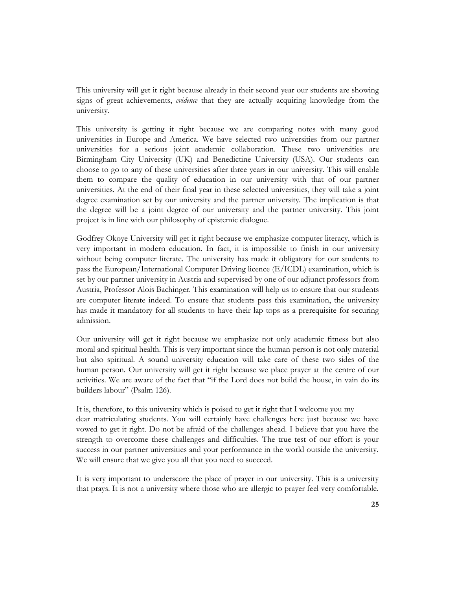This university will get it right because already in their second year our students are showing signs of great achievements, *evidence* that they are actually acquiring knowledge from the university.

This university is getting it right because we are comparing notes with many good universities in Europe and America. We have selected two universities from our partner universities for a serious joint academic collaboration. These two universities are Birmingham City University (UK) and Benedictine University (USA). Our students can choose to go to any of these universities after three years in our university. This will enable them to compare the quality of education in our university with that of our partner universities. At the end of their final year in these selected universities, they will take a joint degree examination set by our university and the partner university. The implication is that the degree will be a joint degree of our university and the partner university. This joint project is in line with our philosophy of epistemic dialogue.

Godfrey Okoye University will get it right because we emphasize computer literacy, which is very important in modern education. In fact, it is impossible to finish in our university without being computer literate. The university has made it obligatory for our students to pass the European/International Computer Driving licence (E/ICDL) examination, which is set by our partner university in Austria and supervised by one of our adjunct professors from Austria, Professor Alois Bachinger. This examination will help us to ensure that our students are computer literate indeed. To ensure that students pass this examination, the university has made it mandatory for all students to have their lap tops as a prerequisite for securing admission.

Our university will get it right because we emphasize not only academic fitness but also moral and spiritual health. This is very important since the human person is not only material but also spiritual. A sound university education will take care of these two sides of the human person. Our university will get it right because we place prayer at the centre of our activities. We are aware of the fact that "if the Lord does not build the house, in vain do its builders labour" (Psalm 126).

It is, therefore, to this university which is poised to get it right that I welcome you my dear matriculating students. You will certainly have challenges here just because we have vowed to get it right. Do not be afraid of the challenges ahead. I believe that you have the strength to overcome these challenges and difficulties. The true test of our effort is your success in our partner universities and your performance in the world outside the university. We will ensure that we give you all that you need to succeed.

It is very important to underscore the place of prayer in our university. This is a university that prays. It is not a university where those who are allergic to prayer feel very comfortable.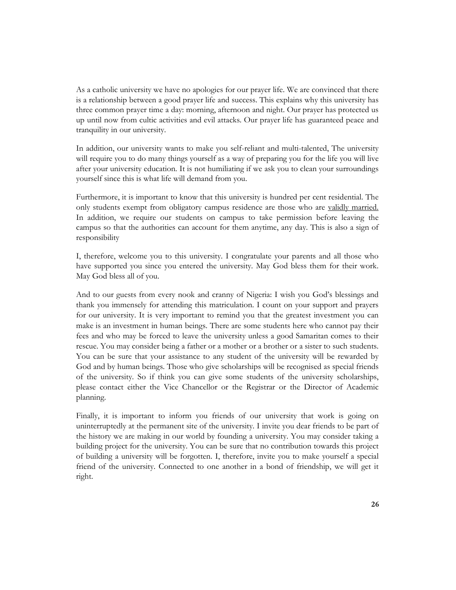As a catholic university we have no apologies for our prayer life. We are convinced that there is a relationship between a good prayer life and success. This explains why this university has three common prayer time a day: morning, afternoon and night. Our prayer has protected us up until now from cultic activities and evil attacks. Our prayer life has guaranteed peace and tranquility in our university.

In addition, our university wants to make you self-reliant and multi-talented, The university will require you to do many things yourself as a way of preparing you for the life you will live after your university education. It is not humiliating if we ask you to clean your surroundings yourself since this is what life will demand from you.

Furthermore, it is important to know that this university is hundred per cent residential. The only students exempt from obligatory campus residence are those who are validly married. In addition, we require our students on campus to take permission before leaving the campus so that the authorities can account for them anytime, any day. This is also a sign of responsibility

I, therefore, welcome you to this university. I congratulate your parents and all those who have supported you since you entered the university. May God bless them for their work. May God bless all of you.

And to our guests from every nook and cranny of Nigeria: I wish you God's blessings and thank you immensely for attending this matriculation. I count on your support and prayers for our university. It is very important to remind you that the greatest investment you can make is an investment in human beings. There are some students here who cannot pay their fees and who may be forced to leave the university unless a good Samaritan comes to their rescue. You may consider being a father or a mother or a brother or a sister to such students. You can be sure that your assistance to any student of the university will be rewarded by God and by human beings. Those who give scholarships will be recognised as special friends of the university. So if think you can give some students of the university scholarships, please contact either the Vice Chancellor or the Registrar or the Director of Academic planning.

Finally, it is important to inform you friends of our university that work is going on uninterruptedly at the permanent site of the university. I invite you dear friends to be part of the history we are making in our world by founding a university. You may consider taking a building project for the university. You can be sure that no contribution towards this project of building a university will be forgotten. I, therefore, invite you to make yourself a special friend of the university. Connected to one another in a bond of friendship, we will get it right.